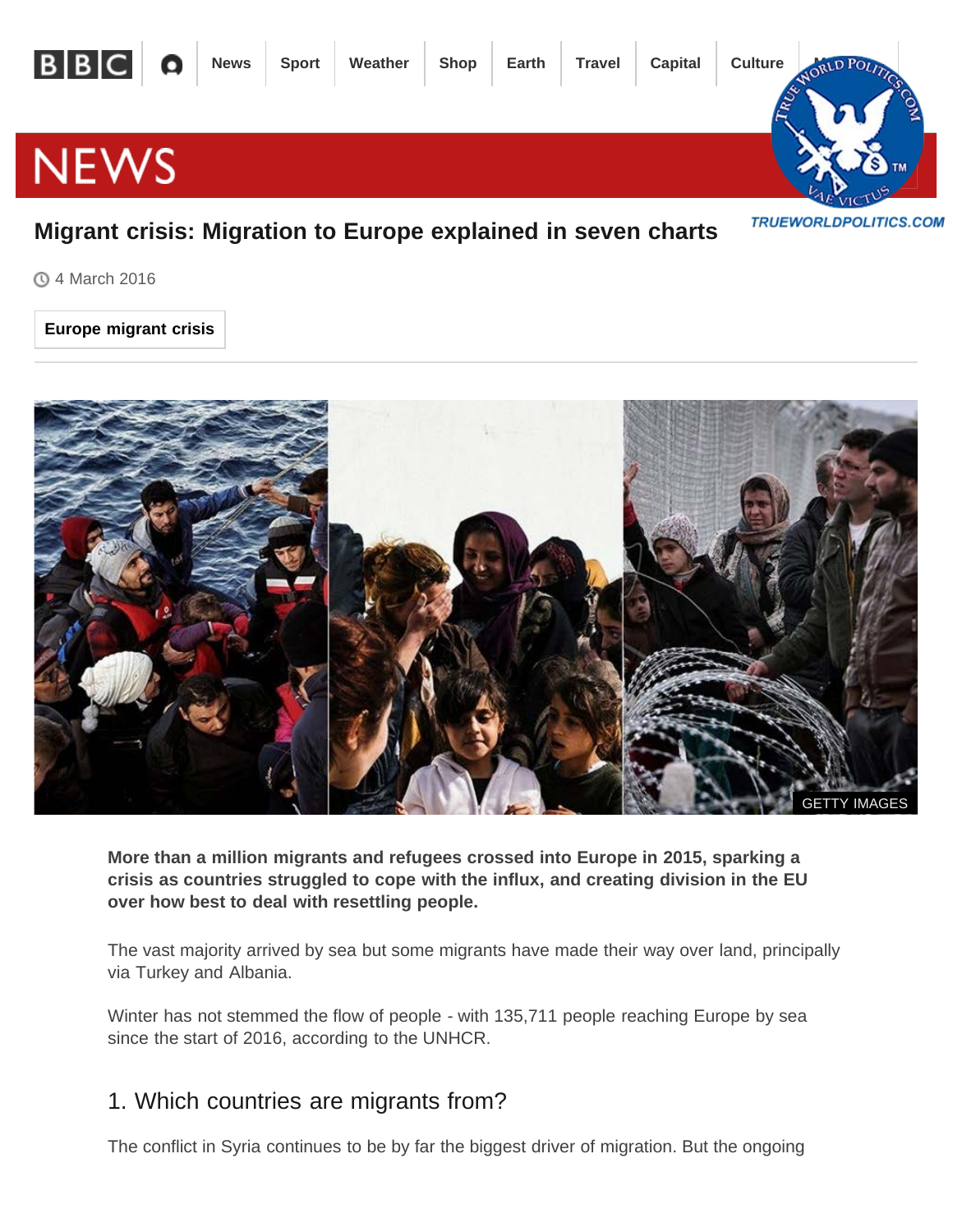

#### 4 March 2016

#### **Europe migrant crisis**



**More than a million migrants and refugees crossed into Europe in 2015, sparking a crisis as countries struggled to cope with the influx, and creating division in the EU over how best to deal with resettling people.**

The vast majority arrived by sea but some migrants have made their way over land, principally via Turkey and Albania.

Winter has not stemmed the flow of people - with 135,711 people reaching Europe by sea since the start of 2016, according to the UNHCR.

#### 1. Which countries are migrants from?

The conflict in Syria continues to be by far the biggest driver of migration. But the ongoing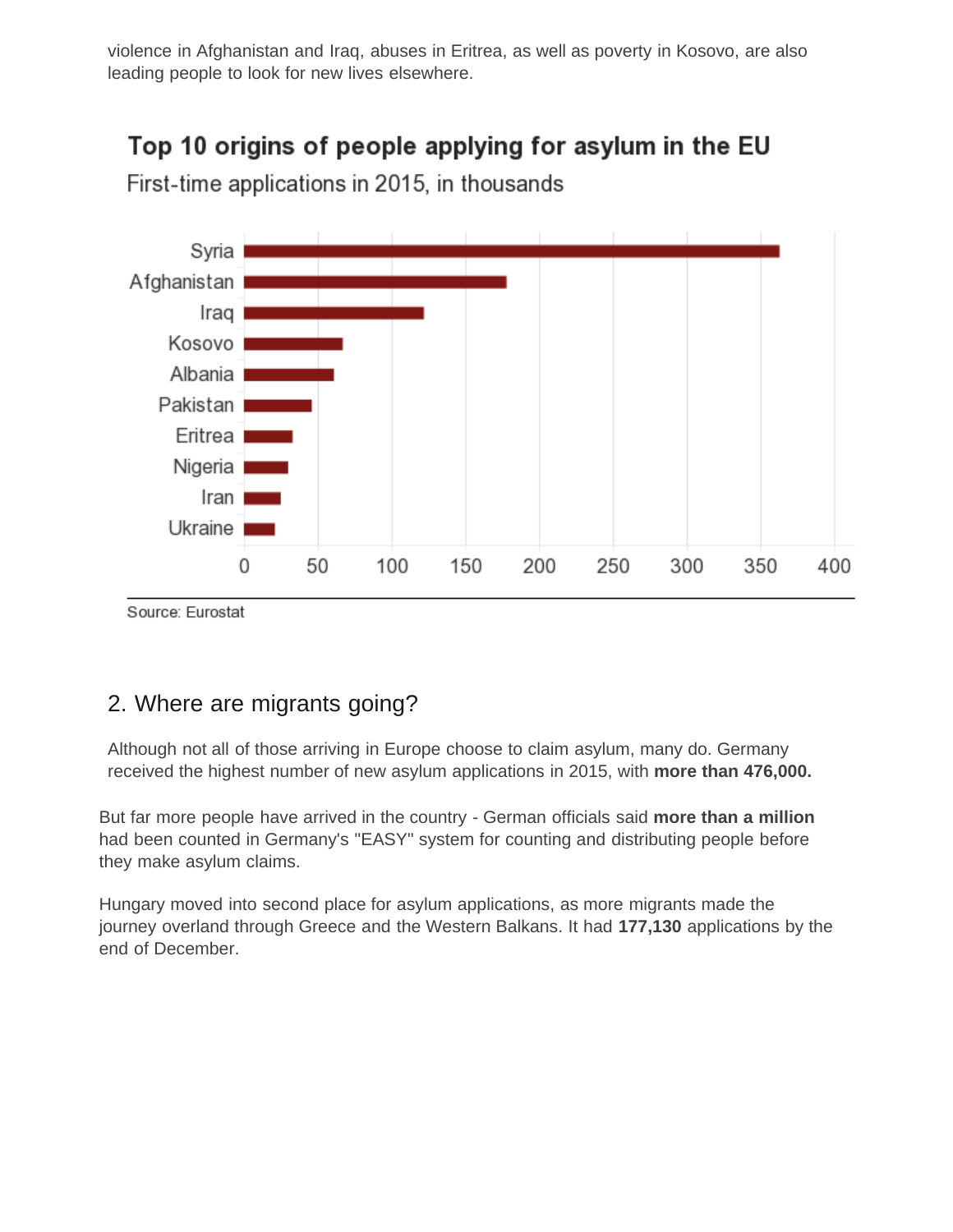violence in Afghanistan and Iraq, abuses in Eritrea, as well as poverty in Kosovo, are also leading people to look for new lives elsewhere.

# Top 10 origins of people applying for asylum in the EU



First-time applications in 2015, in thousands

Source: Eurostat

#### 2. Where are migrants going?

Although not all of those arriving in Europe choose to claim asylum, many do. Germany received the highest number of new asylum applications in 2015, with **more than 476,000.**

But far more people have arrived in the country - Germ[an officials said](http://www.bbc.com/privacy/cookies/international/) **more than a million** had been counted in Germany's "EASY" system for counting and distributing people before they make asylum claims.

Hungary moved into second place for asylum applications, as more migrants made the journey overland through Greece and the Western Balkans. It had **177,130** applications by the end of December.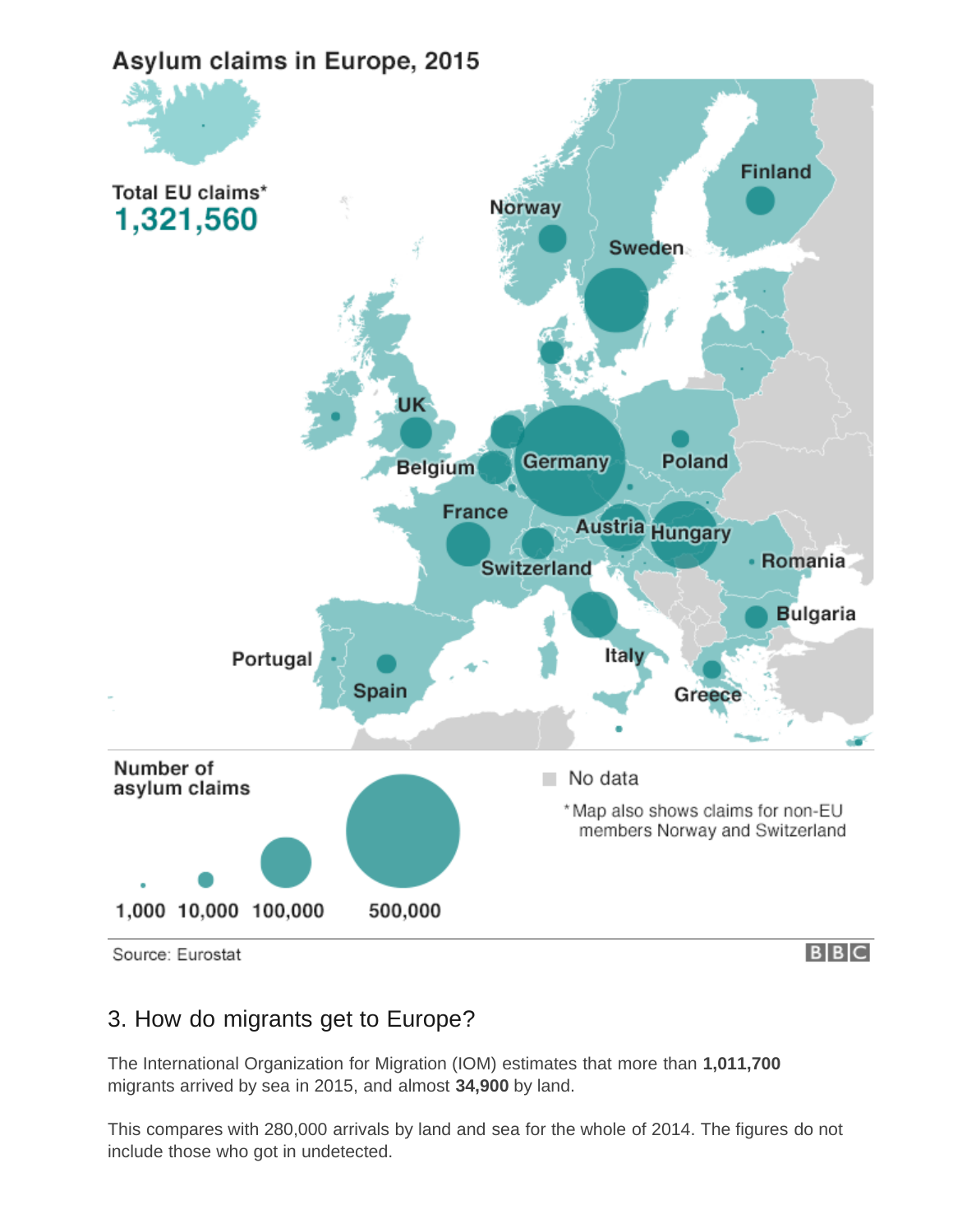

#### 3. How do migrants get to Europe?

The International Organization for Migration (IOM) estimates that more than **1,011,700** migrants arrived by sea in 2015, and almost **34,900** by land.

This compares with 280,000 arrivals by land and sea for the whole of 2014. The figures do not include those who got in undetected.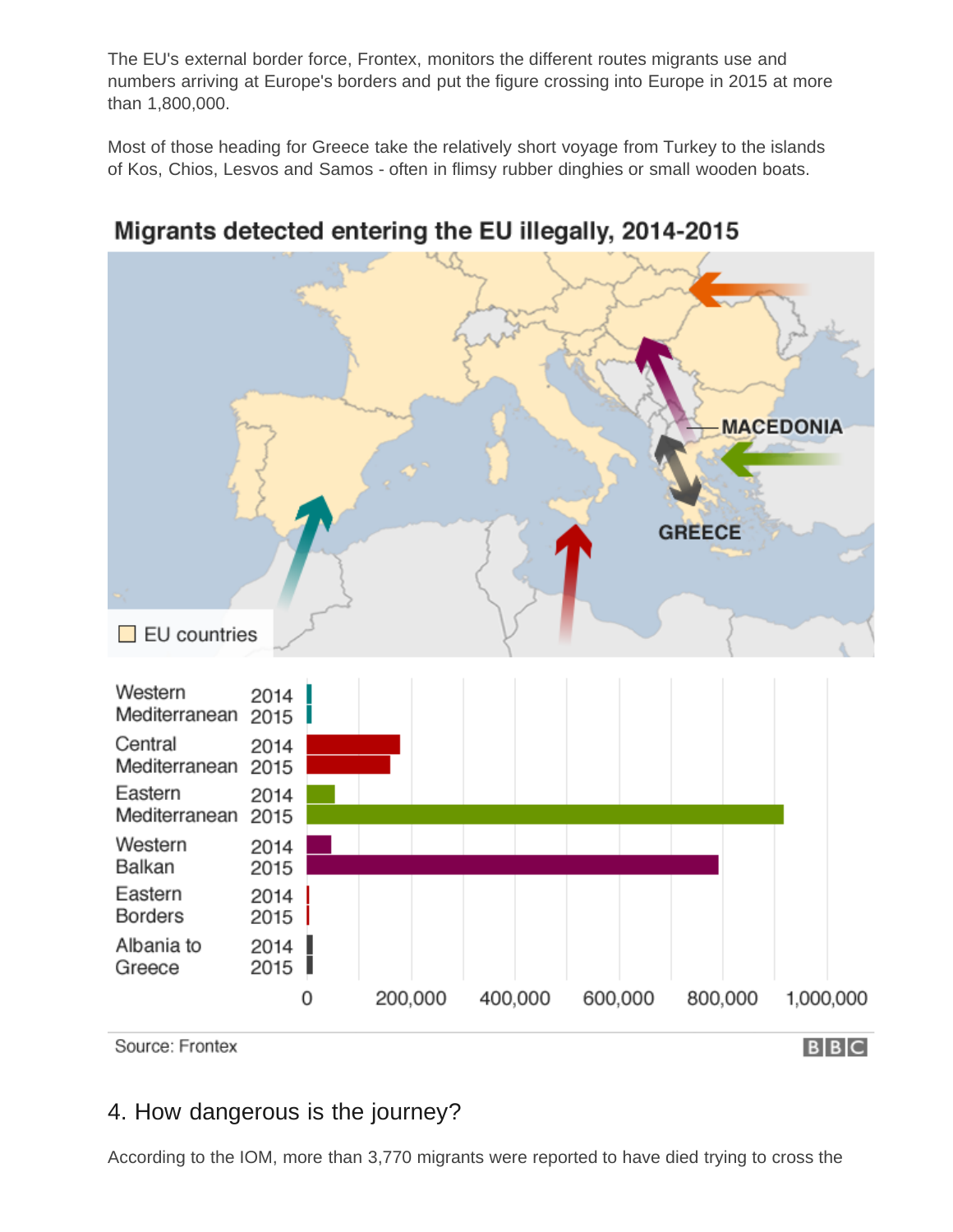The EU's external border force, Frontex, monitors the different routes migrants use and numbers arriving at Europe's borders and put the figure crossing into Europe in 2015 at more than 1,800,000.

Most of those heading for Greece take the relatively short voyage from Turkey to the islands of Kos, Chios, Lesvos and Samos - often in flimsy rubber dinghies or small wooden boats.



## Migrants detected entering the EU illegally, 2014-2015

#### 4. How dangerous is the journey?

According to the IOM, more than 3,770 migrants were reported to have died trying to cross the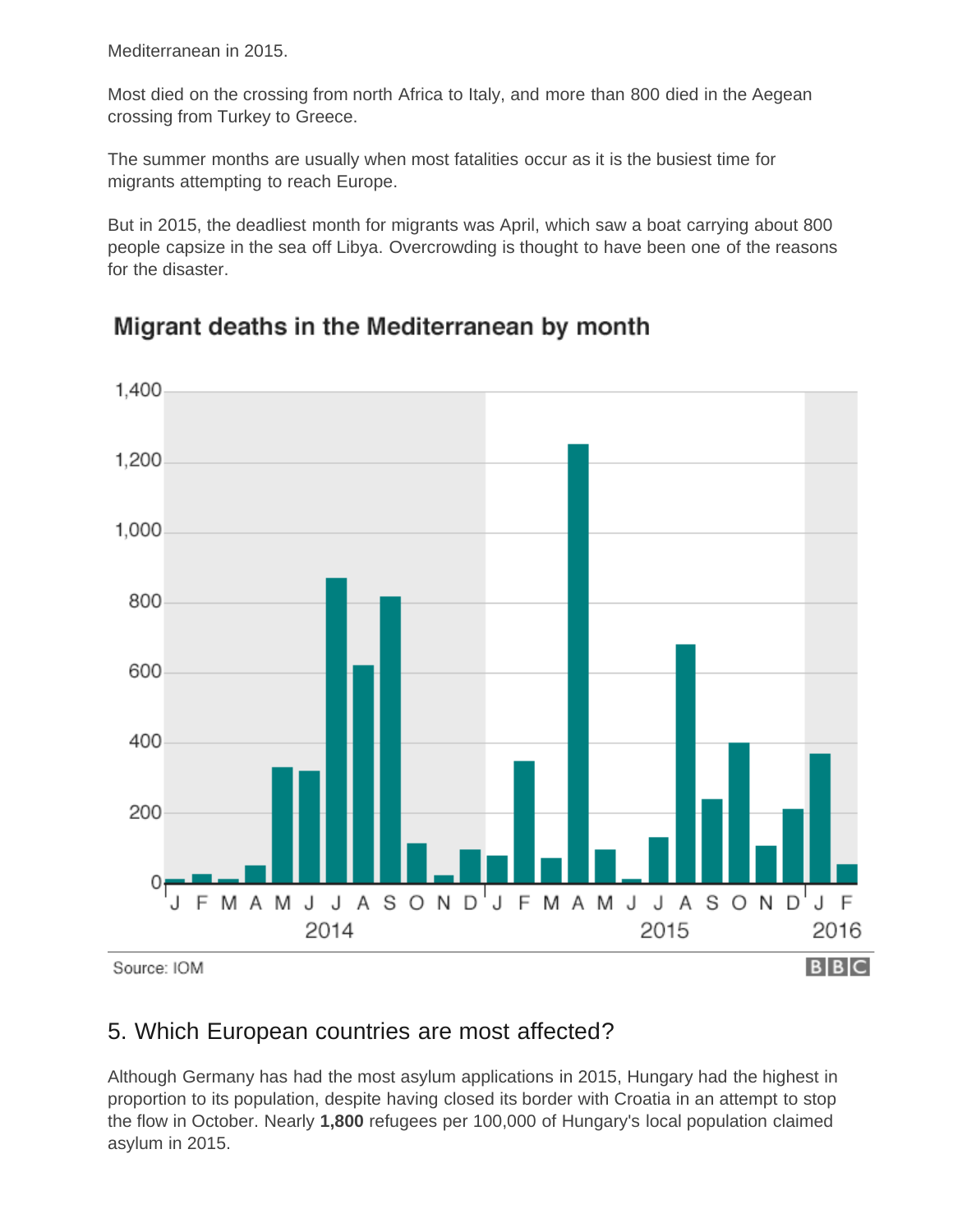Mediterranean in 2015.

Most died on the crossing from north Africa to Italy, and more than 800 died in the Aegean crossing from Turkey to Greece.

The summer months are usually when most fatalities occur as it is the busiest time for migrants attempting to reach Europe.

But in 2015, the deadliest month for migrants was April, which saw a boat carrying about 800 people capsize in the sea off Libya. Overcrowding is thought to have been one of the reasons for the disaster.



## Migrant deaths in the Mediterranean by month

#### 5. Which European countries are most affected?

Although Germany has had the most asylum applications in 2015, Hungary had the highest in proportion to its population, despite having closed its border with Croatia in an attempt to stop the flow in October. Nearly **1,800** refugees per 100,000 of Hungary's local population claimed asylum in 2015.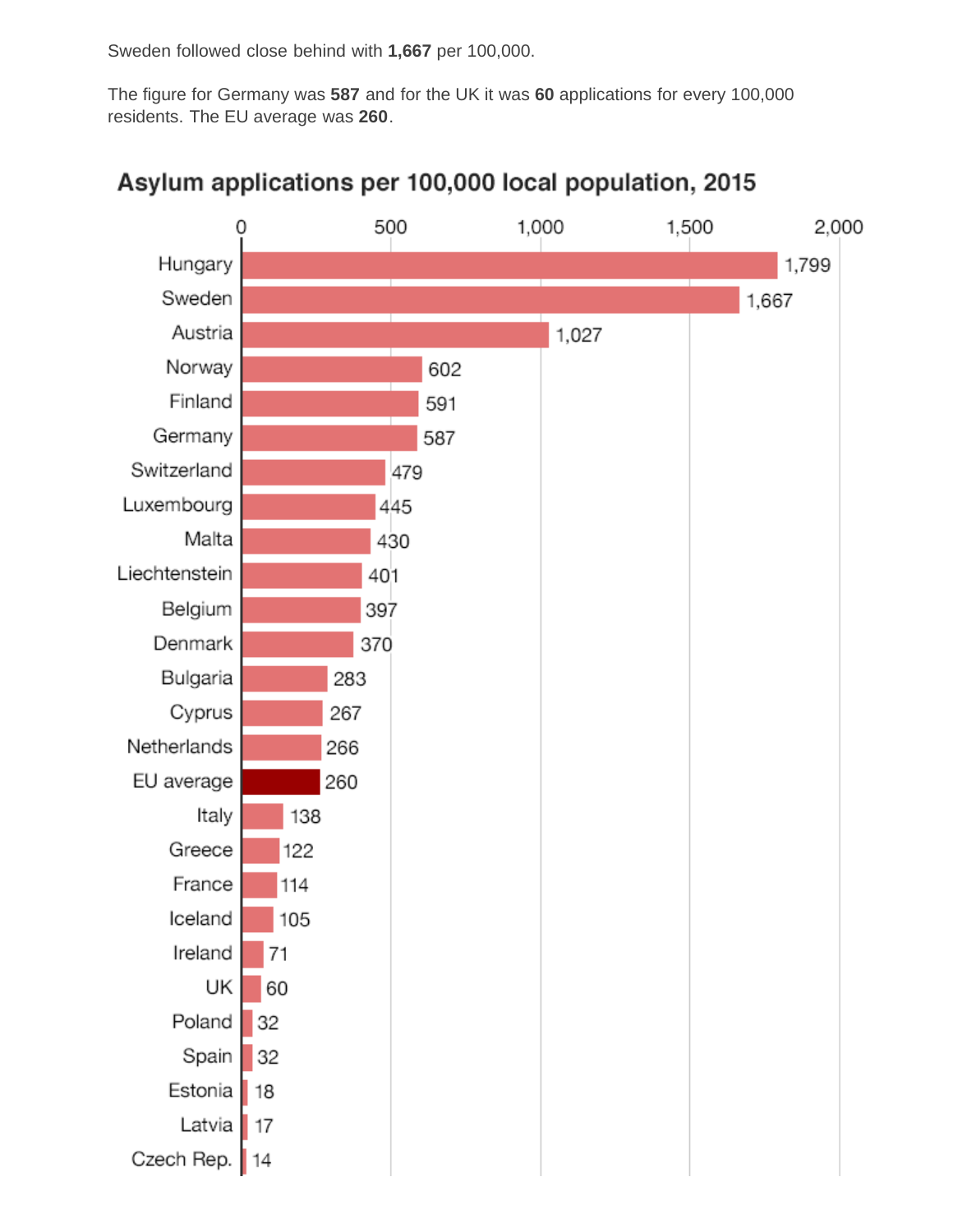Sweden followed close behind with **1,667** per 100,000.

The figure for Germany was **587** and for the UK it was **60** applications for every 100,000 residents. The EU average was **260**.



### Asylum applications per 100,000 local population, 2015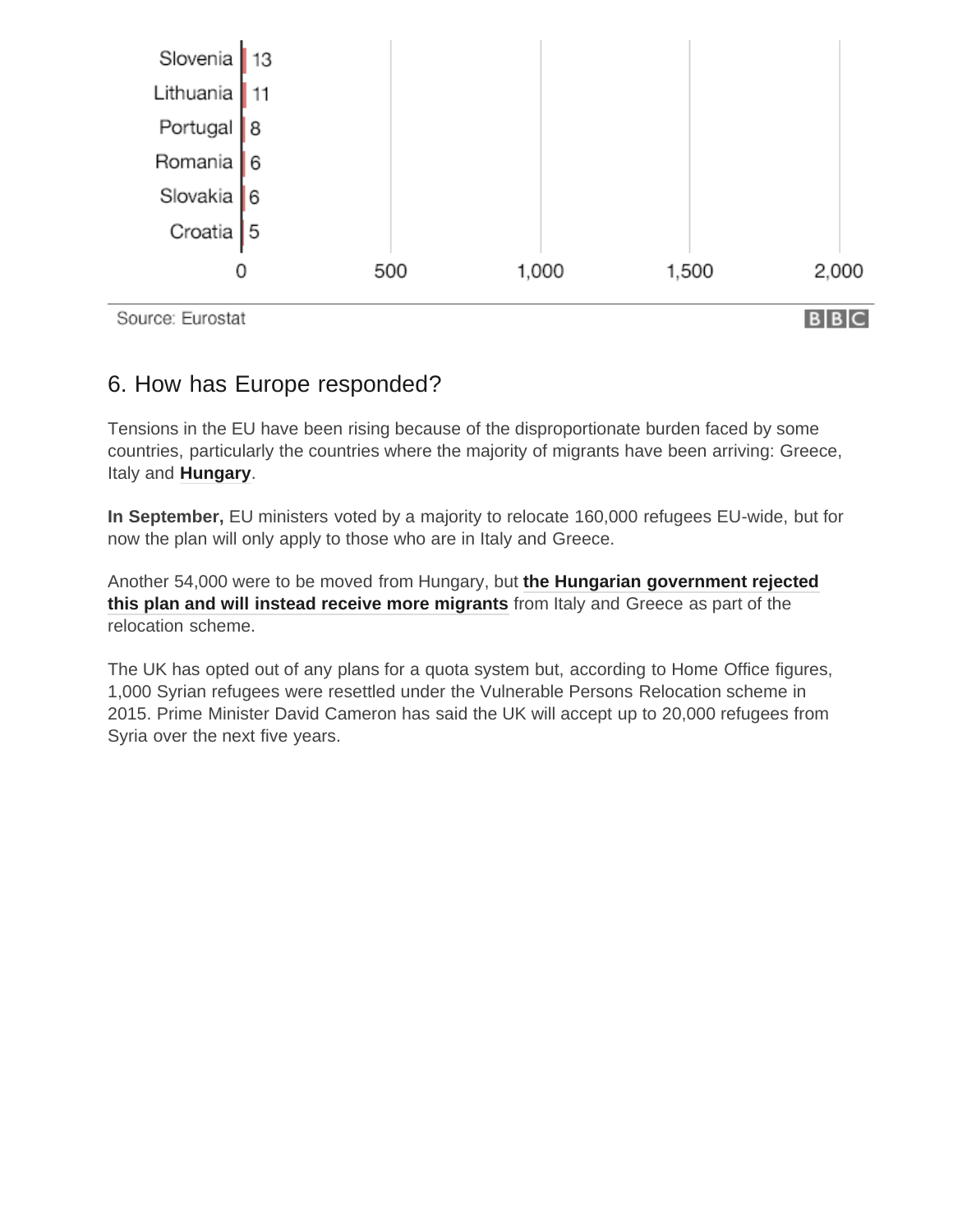

#### 6. How has Europe responded?

Tensions in the EU have been rising because of the disproportionate burden faced by some countries, particularly the countries where the majority of migrants have been arriving: Greece, Italy and **[Hungary](http://www.bbc.co.uk/news/world-europe-34280460)**.

**In September,** EU ministers voted by a majority to relocate 160,000 refugees EU-wide, but for now the plan will only apply to those who are in Italy and Greece.

Another 54,000 were to be moved from Hungary, but **[the Hungarian government rejected](http://www.bbc.co.uk/news/world-europe-34998615) [this plan and will instead receive more migrants](http://www.bbc.co.uk/news/world-europe-34998615)** from Italy and Greece as part of the relocation scheme.

The UK has opted out of any plans for a quota system but, according to Home Office figures, 1,000 Syrian refugees were resettled under the Vulnerable Persons Relocation scheme in 2015. Prime Minister David Cameron has said the UK will accept up to 20,000 refugees from Syria over the next five years.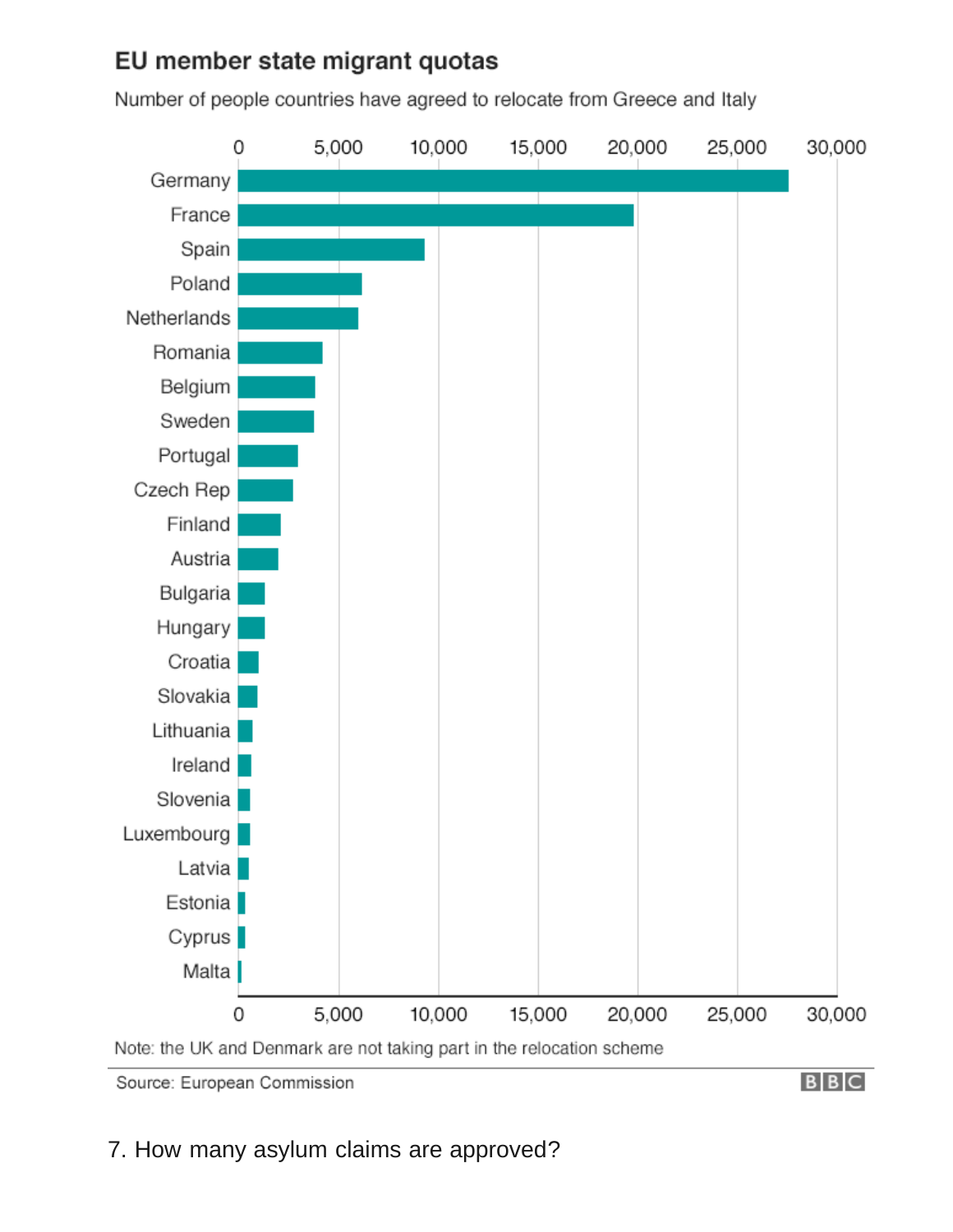## EU member state migrant quotas

Number of people countries have agreed to relocate from Greece and Italy



Source: European Commission

**BBC**